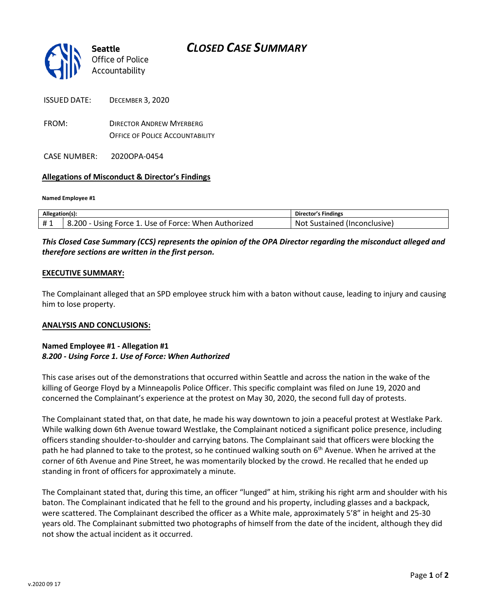# *CLOSED CASE SUMMARY*



ISSUED DATE: DECEMBER 3, 2020

FROM: DIRECTOR ANDREW MYERBERG OFFICE OF POLICE ACCOUNTABILITY

CASE NUMBER: 2020OPA-0454

### **Allegations of Misconduct & Director's Findings**

#### **Named Employee #1**

| Allegation(s): |                                                                           | 's Findings<br>Director            |
|----------------|---------------------------------------------------------------------------|------------------------------------|
| # 1<br>ㅠ ⊥     | 8.200<br>When<br>Force 1<br>Authorized<br>. Use of<br>. Force: .<br>Jsıng | (Inconclusive)<br>No.<br>Sustained |

## *This Closed Case Summary (CCS) represents the opinion of the OPA Director regarding the misconduct alleged and therefore sections are written in the first person.*

#### **EXECUTIVE SUMMARY:**

The Complainant alleged that an SPD employee struck him with a baton without cause, leading to injury and causing him to lose property.

#### **ANALYSIS AND CONCLUSIONS:**

#### **Named Employee #1 - Allegation #1**  *8.200 - Using Force 1. Use of Force: When Authorized*

This case arises out of the demonstrations that occurred within Seattle and across the nation in the wake of the killing of George Floyd by a Minneapolis Police Officer. This specific complaint was filed on June 19, 2020 and concerned the Complainant's experience at the protest on May 30, 2020, the second full day of protests.

The Complainant stated that, on that date, he made his way downtown to join a peaceful protest at Westlake Park. While walking down 6th Avenue toward Westlake, the Complainant noticed a significant police presence, including officers standing shoulder-to-shoulder and carrying batons. The Complainant said that officers were blocking the path he had planned to take to the protest, so he continued walking south on 6<sup>th</sup> Avenue. When he arrived at the corner of 6th Avenue and Pine Street, he was momentarily blocked by the crowd. He recalled that he ended up standing in front of officers for approximately a minute.

The Complainant stated that, during this time, an officer "lunged" at him, striking his right arm and shoulder with his baton. The Complainant indicated that he fell to the ground and his property, including glasses and a backpack, were scattered. The Complainant described the officer as a White male, approximately 5'8" in height and 25-30 years old. The Complainant submitted two photographs of himself from the date of the incident, although they did not show the actual incident as it occurred.